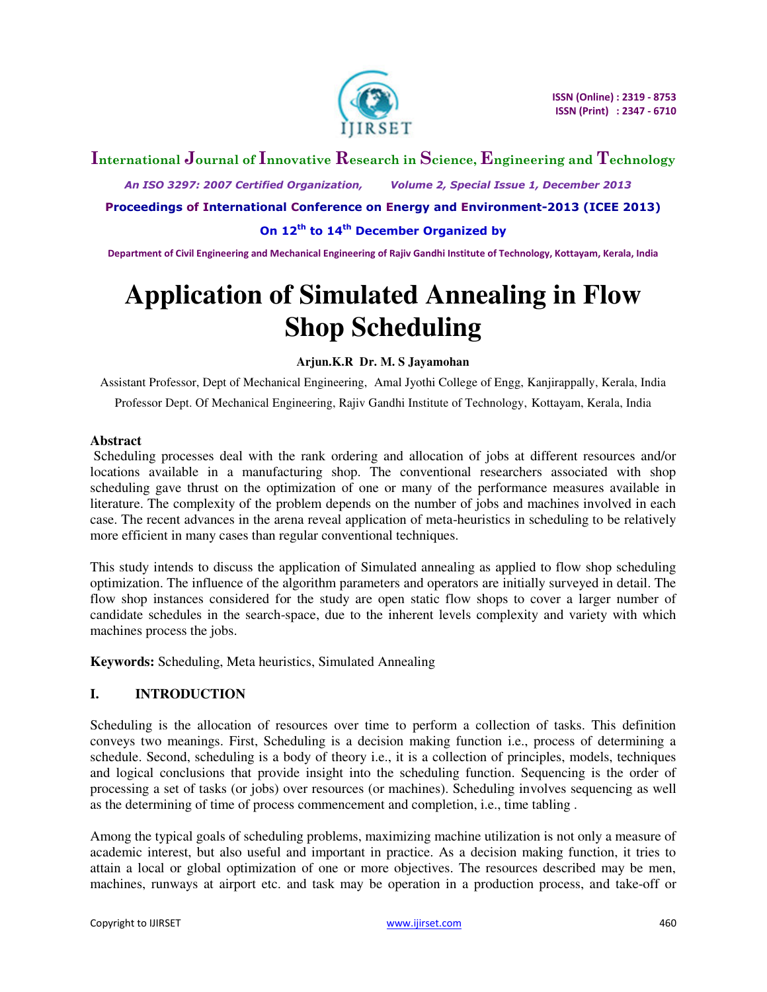

## **International Journal of Innovative Research in Science, Engineering and Technology**

 *An ISO 3297: 2007 Certified Organization, Volume 2, Special Issue 1, December 2013* 

**Proceedings of International Conference on Energy and Environment-2013 (ICEE 2013)** 

**On 12th to 14th December Organized by** 

**Department of Civil Engineering and Mechanical Engineering of Rajiv Gandhi Institute of Technology, Kottayam, Kerala, India** 

# **Application of Simulated Annealing in Flow Shop Scheduling**

#### **Arjun.K.R Dr. M. S Jayamohan**

Assistant Professor, Dept of Mechanical Engineering, Amal Jyothi College of Engg, Kanjirappally, Kerala, India Professor Dept. Of Mechanical Engineering, Rajiv Gandhi Institute of Technology, Kottayam, Kerala, India

#### **Abstract**

 Scheduling processes deal with the rank ordering and allocation of jobs at different resources and/or locations available in a manufacturing shop. The conventional researchers associated with shop scheduling gave thrust on the optimization of one or many of the performance measures available in literature. The complexity of the problem depends on the number of jobs and machines involved in each case. The recent advances in the arena reveal application of meta-heuristics in scheduling to be relatively more efficient in many cases than regular conventional techniques.

This study intends to discuss the application of Simulated annealing as applied to flow shop scheduling optimization. The influence of the algorithm parameters and operators are initially surveyed in detail. The flow shop instances considered for the study are open static flow shops to cover a larger number of candidate schedules in the search-space, due to the inherent levels complexity and variety with which machines process the jobs.

**Keywords:** Scheduling, Meta heuristics, Simulated Annealing

## **I. INTRODUCTION**

Scheduling is the allocation of resources over time to perform a collection of tasks. This definition conveys two meanings. First, Scheduling is a decision making function i.e., process of determining a schedule. Second, scheduling is a body of theory i.e., it is a collection of principles, models, techniques and logical conclusions that provide insight into the scheduling function. Sequencing is the order of processing a set of tasks (or jobs) over resources (or machines). Scheduling involves sequencing as well as the determining of time of process commencement and completion, i.e., time tabling .

Among the typical goals of scheduling problems, maximizing machine utilization is not only a measure of academic interest, but also useful and important in practice. As a decision making function, it tries to attain a local or global optimization of one or more objectives. The resources described may be men, machines, runways at airport etc. and task may be operation in a production process, and take-off or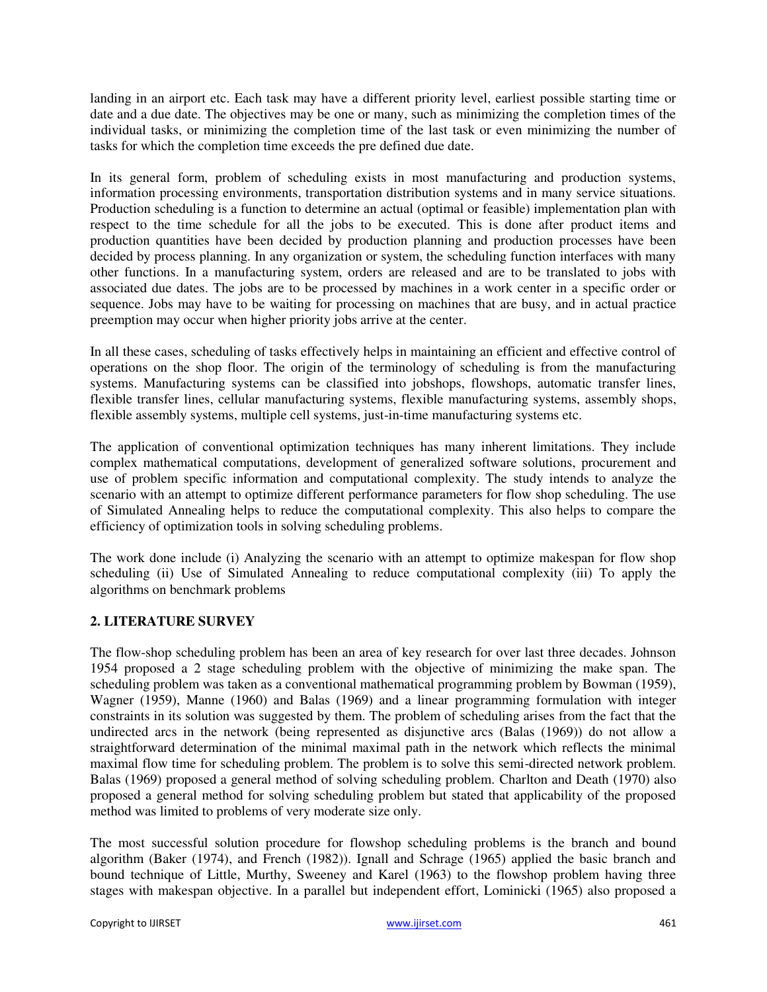landing in an airport etc. Each task may have a different priority level, earliest possible starting time or date and a due date. The objectives may be one or many, such as minimizing the completion times of the individual tasks, or minimizing the completion time of the last task or even minimizing the number of tasks for which the completion time exceeds the pre defined due date.

In its general form, problem of scheduling exists in most manufacturing and production systems, information processing environments, transportation distribution systems and in many service situations. Production scheduling is a function to determine an actual (optimal or feasible) implementation plan with respect to the time schedule for all the jobs to be executed. This is done after product items and production quantities have been decided by production planning and production processes have been decided by process planning. In any organization or system, the scheduling function interfaces with many other functions. In a manufacturing system, orders are released and are to be translated to jobs with associated due dates. The jobs are to be processed by machines in a work center in a specific order or sequence. Jobs may have to be waiting for processing on machines that are busy, and in actual practice preemption may occur when higher priority jobs arrive at the center.

In all these cases, scheduling of tasks effectively helps in maintaining an efficient and effective control of operations on the shop floor. The origin of the terminology of scheduling is from the manufacturing systems. Manufacturing systems can be classified into jobshops, flowshops, automatic transfer lines, flexible transfer lines, cellular manufacturing systems, flexible manufacturing systems, assembly shops, flexible assembly systems, multiple cell systems, just-in-time manufacturing systems etc.

The application of conventional optimization techniques has many inherent limitations. They include complex mathematical computations, development of generalized software solutions, procurement and use of problem specific information and computational complexity. The study intends to analyze the scenario with an attempt to optimize different performance parameters for flow shop scheduling. The use of Simulated Annealing helps to reduce the computational complexity. This also helps to compare the efficiency of optimization tools in solving scheduling problems.

The work done include (i) Analyzing the scenario with an attempt to optimize makespan for flow shop scheduling (ii) Use of Simulated Annealing to reduce computational complexity (iii) To apply the algorithms on benchmark problems

## **2. LITERATURE SURVEY**

The flow-shop scheduling problem has been an area of key research for over last three decades. Johnson 1954 proposed a 2 stage scheduling problem with the objective of minimizing the make span. The scheduling problem was taken as a conventional mathematical programming problem by Bowman (1959), Wagner (1959), Manne (1960) and Balas (1969) and a linear programming formulation with integer constraints in its solution was suggested by them. The problem of scheduling arises from the fact that the undirected arcs in the network (being represented as disjunctive arcs (Balas (1969)) do not allow a straightforward determination of the minimal maximal path in the network which reflects the minimal maximal flow time for scheduling problem. The problem is to solve this semi-directed network problem. Balas (1969) proposed a general method of solving scheduling problem. Charlton and Death (1970) also proposed a general method for solving scheduling problem but stated that applicability of the proposed method was limited to problems of very moderate size only.

The most successful solution procedure for flowshop scheduling problems is the branch and bound algorithm (Baker (1974), and French (1982)). Ignall and Schrage (1965) applied the basic branch and bound technique of Little, Murthy, Sweeney and Karel (1963) to the flowshop problem having three stages with makespan objective. In a parallel but independent effort, Lominicki (1965) also proposed a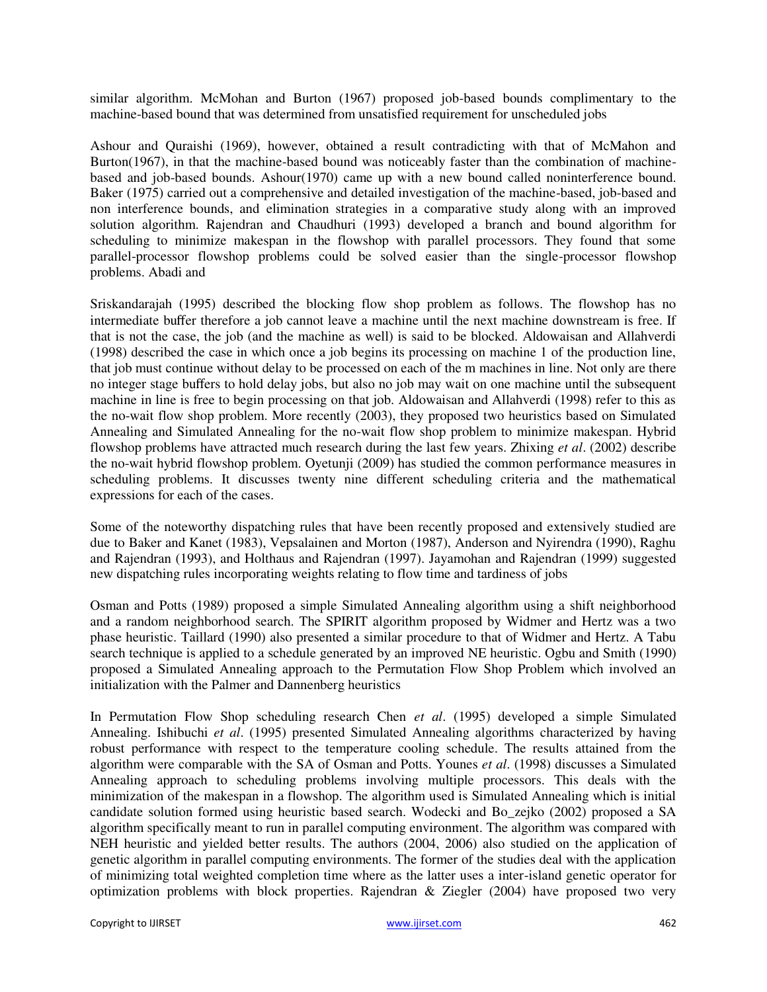similar algorithm. McMohan and Burton (1967) proposed job-based bounds complimentary to the machine-based bound that was determined from unsatisfied requirement for unscheduled jobs

Ashour and Quraishi (1969), however, obtained a result contradicting with that of McMahon and Burton(1967), in that the machine-based bound was noticeably faster than the combination of machinebased and job-based bounds. Ashour(1970) came up with a new bound called noninterference bound. Baker (1975) carried out a comprehensive and detailed investigation of the machine-based, job-based and non interference bounds, and elimination strategies in a comparative study along with an improved solution algorithm. Rajendran and Chaudhuri (1993) developed a branch and bound algorithm for scheduling to minimize makespan in the flowshop with parallel processors. They found that some parallel-processor flowshop problems could be solved easier than the single-processor flowshop problems. Abadi and

Sriskandarajah (1995) described the blocking flow shop problem as follows. The flowshop has no intermediate buffer therefore a job cannot leave a machine until the next machine downstream is free. If that is not the case, the job (and the machine as well) is said to be blocked. Aldowaisan and Allahverdi (1998) described the case in which once a job begins its processing on machine 1 of the production line, that job must continue without delay to be processed on each of the m machines in line. Not only are there no integer stage buffers to hold delay jobs, but also no job may wait on one machine until the subsequent machine in line is free to begin processing on that job. Aldowaisan and Allahverdi (1998) refer to this as the no-wait flow shop problem. More recently (2003), they proposed two heuristics based on Simulated Annealing and Simulated Annealing for the no-wait flow shop problem to minimize makespan. Hybrid flowshop problems have attracted much research during the last few years. Zhixing *et al*. (2002) describe the no-wait hybrid flowshop problem. Oyetunji (2009) has studied the common performance measures in scheduling problems. It discusses twenty nine different scheduling criteria and the mathematical expressions for each of the cases.

Some of the noteworthy dispatching rules that have been recently proposed and extensively studied are due to Baker and Kanet (1983), Vepsalainen and Morton (1987), Anderson and Nyirendra (1990), Raghu and Rajendran (1993), and Holthaus and Rajendran (1997). Jayamohan and Rajendran (1999) suggested new dispatching rules incorporating weights relating to flow time and tardiness of jobs

Osman and Potts (1989) proposed a simple Simulated Annealing algorithm using a shift neighborhood and a random neighborhood search. The SPIRIT algorithm proposed by Widmer and Hertz was a two phase heuristic. Taillard (1990) also presented a similar procedure to that of Widmer and Hertz. A Tabu search technique is applied to a schedule generated by an improved NE heuristic. Ogbu and Smith (1990) proposed a Simulated Annealing approach to the Permutation Flow Shop Problem which involved an initialization with the Palmer and Dannenberg heuristics

In Permutation Flow Shop scheduling research Chen *et al*. (1995) developed a simple Simulated Annealing. Ishibuchi *et al*. (1995) presented Simulated Annealing algorithms characterized by having robust performance with respect to the temperature cooling schedule. The results attained from the algorithm were comparable with the SA of Osman and Potts. Younes *et al*. (1998) discusses a Simulated Annealing approach to scheduling problems involving multiple processors. This deals with the minimization of the makespan in a flowshop. The algorithm used is Simulated Annealing which is initial candidate solution formed using heuristic based search. Wodecki and Bo\_zejko (2002) proposed a SA algorithm specifically meant to run in parallel computing environment. The algorithm was compared with NEH heuristic and yielded better results. The authors (2004, 2006) also studied on the application of genetic algorithm in parallel computing environments. The former of the studies deal with the application of minimizing total weighted completion time where as the latter uses a inter-island genetic operator for optimization problems with block properties. Rajendran  $\&$  Ziegler (2004) have proposed two very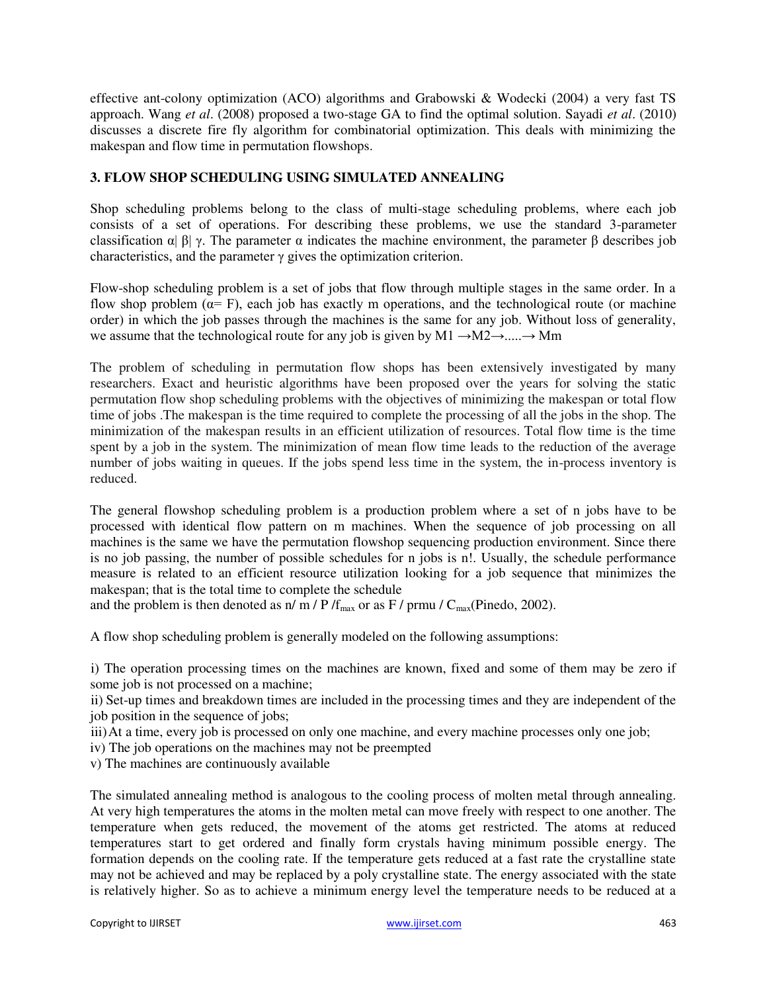effective ant-colony optimization (ACO) algorithms and Grabowski & Wodecki (2004) a very fast TS approach. Wang *et al*. (2008) proposed a two-stage GA to find the optimal solution. Sayadi *et al*. (2010) discusses a discrete fire fly algorithm for combinatorial optimization. This deals with minimizing the makespan and flow time in permutation flowshops.

## **3. FLOW SHOP SCHEDULING USING SIMULATED ANNEALING**

Shop scheduling problems belong to the class of multi-stage scheduling problems, where each job consists of a set of operations. For describing these problems, we use the standard 3-parameter classification  $\alpha | \beta | \gamma$ . The parameter  $\alpha$  indicates the machine environment, the parameter  $\beta$  describes job characteristics, and the parameter  $\gamma$  gives the optimization criterion.

Flow-shop scheduling problem is a set of jobs that flow through multiple stages in the same order. In a flow shop problem ( $\alpha$ = F), each job has exactly m operations, and the technological route (or machine order) in which the job passes through the machines is the same for any job. Without loss of generality, we assume that the technological route for any job is given by M1  $\rightarrow$ M2 $\rightarrow$ ..... $\rightarrow$ Mm

The problem of scheduling in permutation flow shops has been extensively investigated by many researchers. Exact and heuristic algorithms have been proposed over the years for solving the static permutation flow shop scheduling problems with the objectives of minimizing the makespan or total flow time of jobs .The makespan is the time required to complete the processing of all the jobs in the shop. The minimization of the makespan results in an efficient utilization of resources. Total flow time is the time spent by a job in the system. The minimization of mean flow time leads to the reduction of the average number of jobs waiting in queues. If the jobs spend less time in the system, the in-process inventory is reduced.

The general flowshop scheduling problem is a production problem where a set of n jobs have to be processed with identical flow pattern on m machines. When the sequence of job processing on all machines is the same we have the permutation flowshop sequencing production environment. Since there is no job passing, the number of possible schedules for n jobs is n!. Usually, the schedule performance measure is related to an efficient resource utilization looking for a job sequence that minimizes the makespan; that is the total time to complete the schedule

and the problem is then denoted as  $n/m / P/f_{max}$  or as F / prmu /  $C_{max}(Pinedo, 2002)$ .

A flow shop scheduling problem is generally modeled on the following assumptions:

i) The operation processing times on the machines are known, fixed and some of them may be zero if some job is not processed on a machine;

ii) Set-up times and breakdown times are included in the processing times and they are independent of the job position in the sequence of jobs;

iii)At a time, every job is processed on only one machine, and every machine processes only one job;

iv) The job operations on the machines may not be preempted

v) The machines are continuously available

The simulated annealing method is analogous to the cooling process of molten metal through annealing. At very high temperatures the atoms in the molten metal can move freely with respect to one another. The temperature when gets reduced, the movement of the atoms get restricted. The atoms at reduced temperatures start to get ordered and finally form crystals having minimum possible energy. The formation depends on the cooling rate. If the temperature gets reduced at a fast rate the crystalline state may not be achieved and may be replaced by a poly crystalline state. The energy associated with the state is relatively higher. So as to achieve a minimum energy level the temperature needs to be reduced at a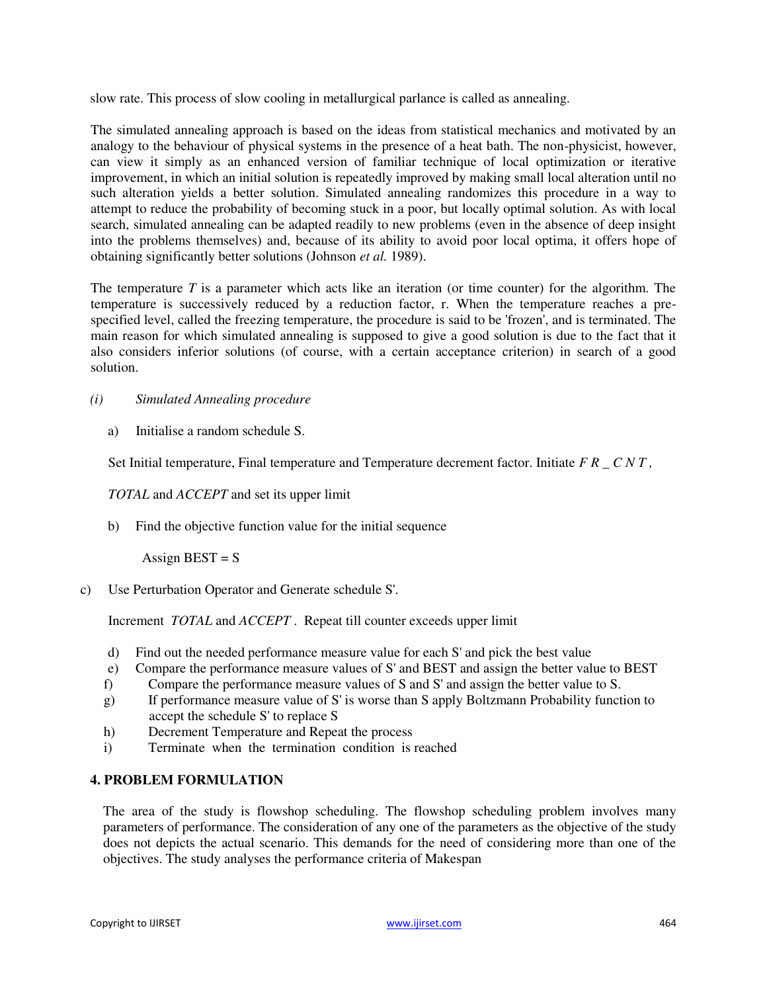slow rate. This process of slow cooling in metallurgical parlance is called as annealing.

The simulated annealing approach is based on the ideas from statistical mechanics and motivated by an analogy to the behaviour of physical systems in the presence of a heat bath. The non-physicist, however, can view it simply as an enhanced version of familiar technique of local optimization or iterative improvement, in which an initial solution is repeatedly improved by making small local alteration until no such alteration yields a better solution. Simulated annealing randomizes this procedure in a way to attempt to reduce the probability of becoming stuck in a poor, but locally optimal solution. As with local search, simulated annealing can be adapted readily to new problems (even in the absence of deep insight into the problems themselves) and, because of its ability to avoid poor local optima, it offers hope of obtaining significantly better solutions (Johnson *et al.* 1989).

The temperature *T* is a parameter which acts like an iteration (or time counter) for the algorithm. The temperature is successively reduced by a reduction factor, r. When the temperature reaches a prespecified level, called the freezing temperature, the procedure is said to be 'frozen', and is terminated. The main reason for which simulated annealing is supposed to give a good solution is due to the fact that it also considers inferior solutions (of course, with a certain acceptance criterion) in search of a good solution.

- *(i) Simulated Annealing procedure* 
	- a) Initialise a random schedule S.

Set Initial temperature, Final temperature and Temperature decrement factor. Initiate *F R \_ C N T ,*

## *TOTAL* and *ACCEPT* and set its upper limit

b) Find the objective function value for the initial sequence

Assign  $\text{BEST} = \text{S}$ 

c) Use Perturbation Operator and Generate schedule S'.

Increment *TOTAL* and *ACCEPT* . Repeat till counter exceeds upper limit

- d) Find out the needed performance measure value for each S' and pick the best value
- e) Compare the performance measure values of S' and BEST and assign the better value to BEST
- f) Compare the performance measure values of S and S' and assign the better value to S.
- g) If performance measure value of S' is worse than S apply Boltzmann Probability function to accept the schedule S' to replace S
- h) Decrement Temperature and Repeat the process
- i) Terminate when the termination condition is reached

## **4. PROBLEM FORMULATION**

The area of the study is flowshop scheduling. The flowshop scheduling problem involves many parameters of performance. The consideration of any one of the parameters as the objective of the study does not depicts the actual scenario. This demands for the need of considering more than one of the objectives. The study analyses the performance criteria of Makespan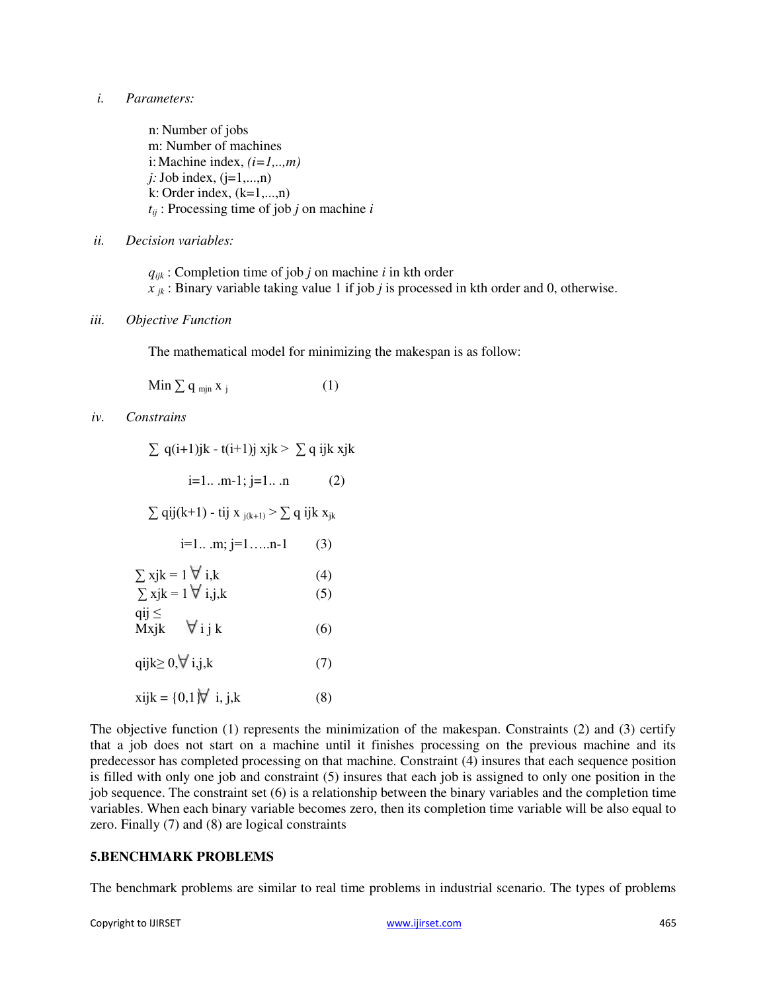#### *i. Parameters:*

n: Number of jobs m: Number of machines i: Machine index,  $(i=1,...,m)$  $j:$  Job index,  $(j=1,...,n)$  $k:$  Order index,  $(k=1,...,n)$ *tij* : Processing time of job *j* on machine *i*

#### *ii. Decision variables:*

*qijk* : Completion time of job *j* on machine *i* in kth order  $x_{jk}$ : Binary variable taking value 1 if job *j* is processed in kth order and 0, otherwise.

#### *iii. Objective Function*

The mathematical model for minimizing the makespan is as follow:

Min  $\sum q_{\min} x_i$  (1)

*iv. Constrains* 

| $\sum$ q(i+1)jk - t(i+1)j xjk > $\sum$ q ijk xjk                         |     |
|--------------------------------------------------------------------------|-----|
| $i=1$ m-1; $j=1$ n                                                       | (2) |
| $\sum$ qij(k+1) - tij x <sub>j(k+1)</sub> > $\sum$ q ijk x <sub>jk</sub> |     |
| $i=1m; j=1n-1$                                                           | (3) |
| $\sum$ xjk = 1 $\forall$ i,k                                             | (4) |
| $\sum$ xjk = 1 $\nabla$ i,j,k                                            | (5) |
| $qij \leq$<br>Mxjk $\forall i j k$                                       | (6) |
| qijk $\geq 0, \forall$ i,j,k                                             | (7) |
| xijk = {0,1 $\overline{N}$ i, j,k                                        | (8) |

The objective function (1) represents the minimization of the makespan. Constraints (2) and (3) certify that a job does not start on a machine until it finishes processing on the previous machine and its predecessor has completed processing on that machine. Constraint (4) insures that each sequence position is filled with only one job and constraint (5) insures that each job is assigned to only one position in the job sequence. The constraint set (6) is a relationship between the binary variables and the completion time variables. When each binary variable becomes zero, then its completion time variable will be also equal to zero. Finally (7) and (8) are logical constraints

#### **5.BENCHMARK PROBLEMS**

The benchmark problems are similar to real time problems in industrial scenario. The types of problems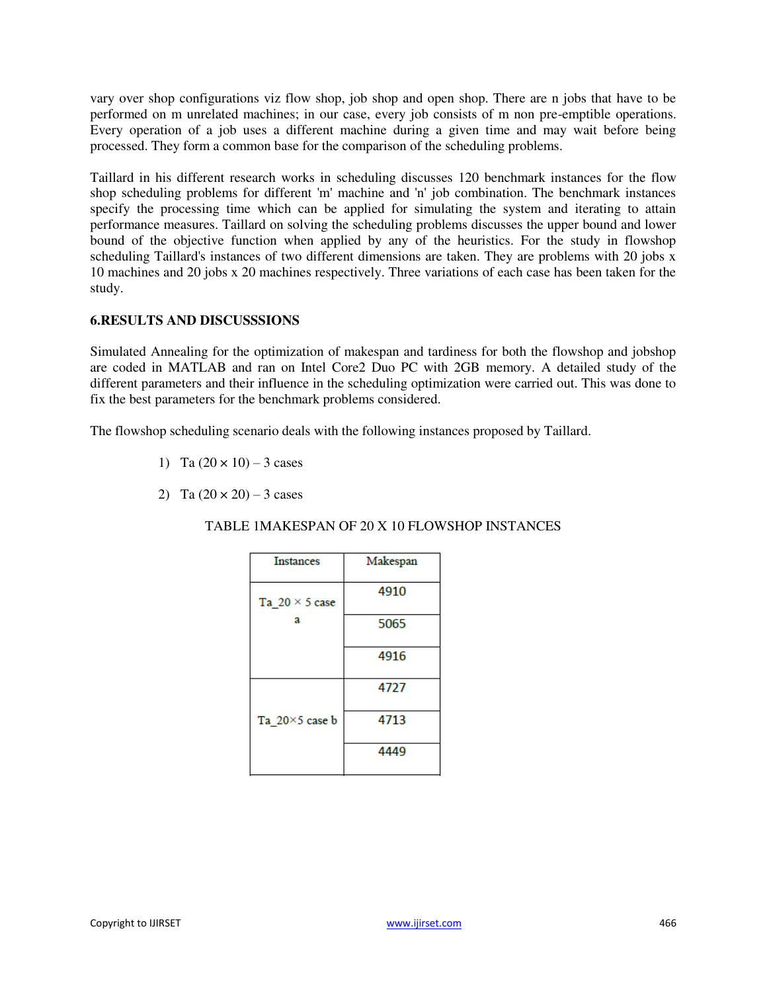vary over shop configurations viz flow shop, job shop and open shop. There are n jobs that have to be performed on m unrelated machines; in our case, every job consists of m non pre-emptible operations. Every operation of a job uses a different machine during a given time and may wait before being processed. They form a common base for the comparison of the scheduling problems.

Taillard in his different research works in scheduling discusses 120 benchmark instances for the flow shop scheduling problems for different 'm' machine and 'n' job combination. The benchmark instances specify the processing time which can be applied for simulating the system and iterating to attain performance measures. Taillard on solving the scheduling problems discusses the upper bound and lower bound of the objective function when applied by any of the heuristics. For the study in flowshop scheduling Taillard's instances of two different dimensions are taken. They are problems with 20 jobs x 10 machines and 20 jobs x 20 machines respectively. Three variations of each case has been taken for the study.

## **6.RESULTS AND DISCUSSSIONS**

Simulated Annealing for the optimization of makespan and tardiness for both the flowshop and jobshop are coded in MATLAB and ran on Intel Core2 Duo PC with 2GB memory. A detailed study of the different parameters and their influence in the scheduling optimization were carried out. This was done to fix the best parameters for the benchmark problems considered.

The flowshop scheduling scenario deals with the following instances proposed by Taillard.

- 1) Ta  $(20 \times 10) 3$  cases
- 2) Ta  $(20 \times 20) 3$  cases

## TABLE 1MAKESPAN OF 20 X 10 FLOWSHOP INSTANCES

| <b>Instances</b>      | Makespan |
|-----------------------|----------|
| Ta $20 \times 5$ case | 4910     |
| a                     | 5065     |
|                       | 4916     |
|                       | 4727     |
| Ta 20×5 case b        | 4713     |
|                       | 4449     |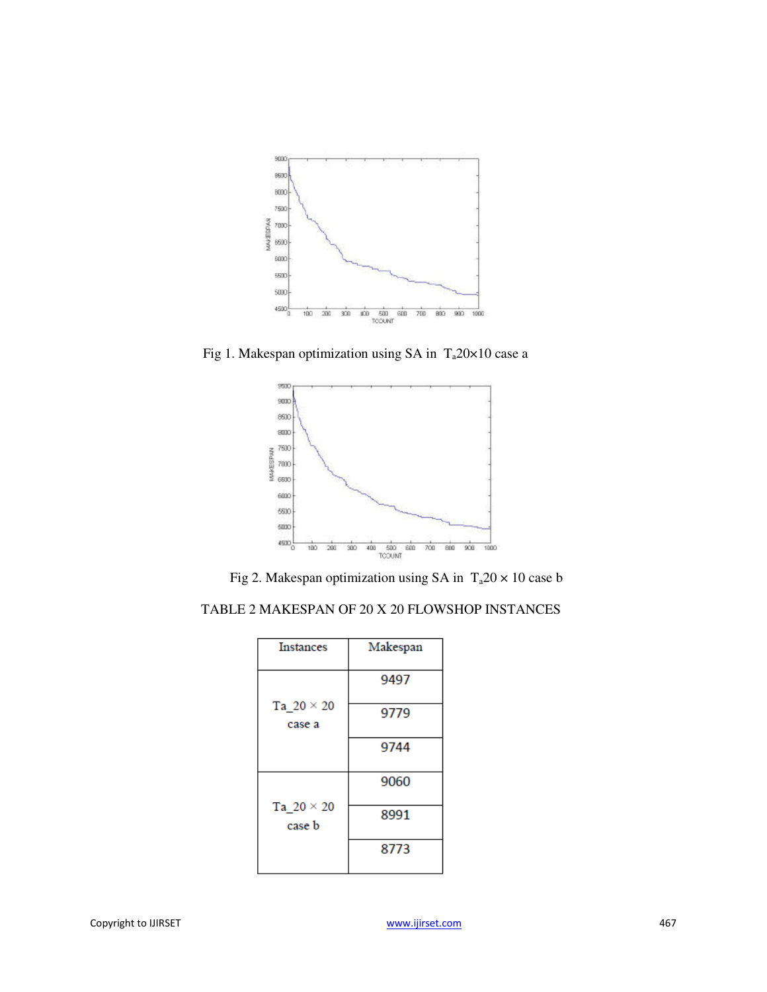

Fig 1. Makespan optimization using SA in  $T_a 20 \times 10$  case a



Fig 2. Makespan optimization using SA in  $T_a 20 \times 10$  case b

|  | TABLE 2 MAKESPAN OF 20 X 20 FLOWSHOP INSTANCES |
|--|------------------------------------------------|
|  |                                                |

| <b>Instances</b>            | Makespan |
|-----------------------------|----------|
|                             | 9497     |
| Ta $20 \times 20$<br>case a | 9779     |
|                             | 9744     |
|                             | 9060     |
| Ta $20 \times 20$<br>case b | 8991     |
|                             | 8773     |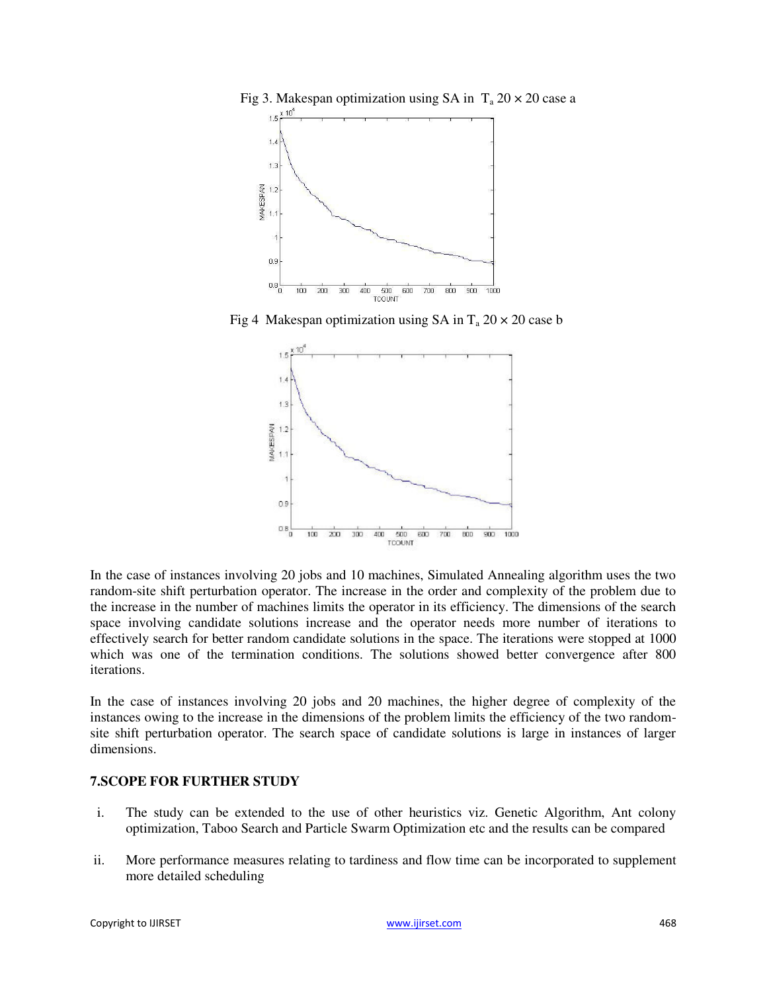

Fig 3. Makespan optimization using SA in  $T_a 20 \times 20$  case a

Fig 4 Makespan optimization using SA in  $T_a 20 \times 20$  case b



In the case of instances involving 20 jobs and 10 machines, Simulated Annealing algorithm uses the two random-site shift perturbation operator. The increase in the order and complexity of the problem due to the increase in the number of machines limits the operator in its efficiency. The dimensions of the search space involving candidate solutions increase and the operator needs more number of iterations to effectively search for better random candidate solutions in the space. The iterations were stopped at 1000 which was one of the termination conditions. The solutions showed better convergence after 800 iterations.

In the case of instances involving 20 jobs and 20 machines, the higher degree of complexity of the instances owing to the increase in the dimensions of the problem limits the efficiency of the two randomsite shift perturbation operator. The search space of candidate solutions is large in instances of larger dimensions.

## **7.SCOPE FOR FURTHER STUDY**

- i. The study can be extended to the use of other heuristics viz. Genetic Algorithm, Ant colony optimization, Taboo Search and Particle Swarm Optimization etc and the results can be compared
- ii. More performance measures relating to tardiness and flow time can be incorporated to supplement more detailed scheduling